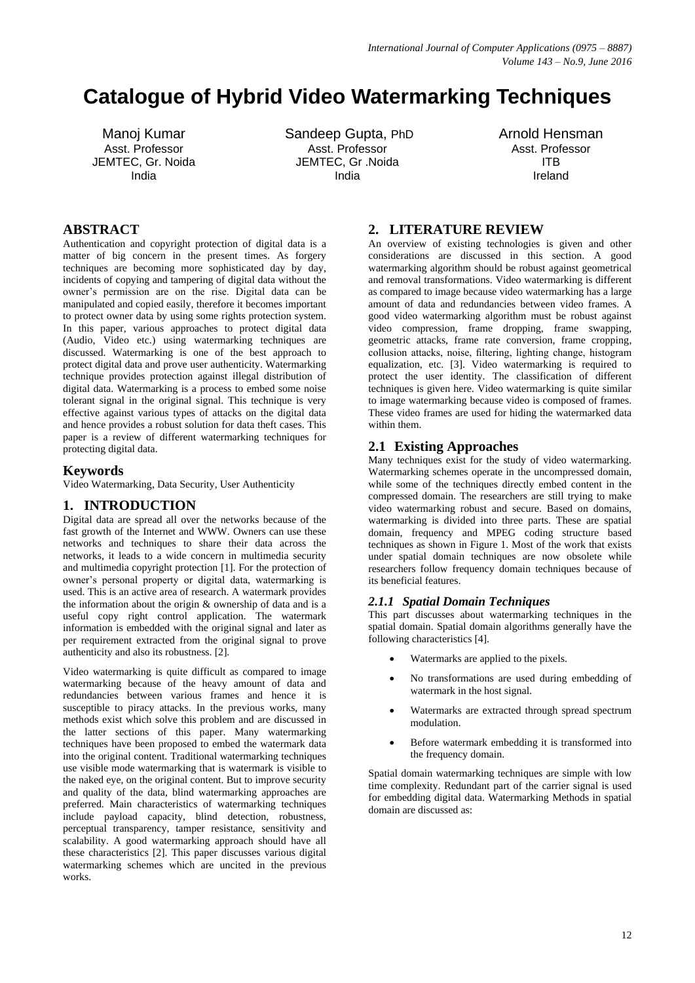# **Catalogue of Hybrid Video Watermarking Techniques**

Manoj Kumar Asst. Professor JEMTEC, Gr. Noida India

Sandeep Gupta, PhD Asst. Professor JEMTEC, Gr .Noida India

Arnold Hensman Asst. Professor ITB Ireland

# **ABSTRACT**

Authentication and copyright protection of digital data is a matter of big concern in the present times. As forgery techniques are becoming more sophisticated day by day, incidents of copying and tampering of digital data without the owner"s permission are on the rise. Digital data can be manipulated and copied easily, therefore it becomes important to protect owner data by using some rights protection system. In this paper, various approaches to protect digital data (Audio, Video etc.) using watermarking techniques are discussed. Watermarking is one of the best approach to protect digital data and prove user authenticity. Watermarking technique provides protection against illegal distribution of digital data. Watermarking is a process to embed some noise tolerant signal in the original signal. This technique is very effective against various types of attacks on the digital data and hence provides a robust solution for data theft cases. This paper is a review of different watermarking techniques for protecting digital data.

## **Keywords**

Video Watermarking, Data Security, User Authenticity

# **1. INTRODUCTION**

Digital data are spread all over the networks because of the fast growth of the Internet and WWW. Owners can use these networks and techniques to share their data across the networks, it leads to a wide concern in multimedia security and multimedia copyright protection [1]. For the protection of owner"s personal property or digital data, watermarking is used. This is an active area of research. A watermark provides the information about the origin & ownership of data and is a useful copy right control application. The watermark information is embedded with the original signal and later as per requirement extracted from the original signal to prove authenticity and also its robustness. [2].

Video watermarking is quite difficult as compared to image watermarking because of the heavy amount of data and redundancies between various frames and hence it is susceptible to piracy attacks. In the previous works, many methods exist which solve this problem and are discussed in the latter sections of this paper. Many watermarking techniques have been proposed to embed the watermark data into the original content. Traditional watermarking techniques use visible mode watermarking that is watermark is visible to the naked eye, on the original content. But to improve security and quality of the data, blind watermarking approaches are preferred. Main characteristics of watermarking techniques include payload capacity, blind detection, robustness, perceptual transparency, tamper resistance, sensitivity and scalability. A good watermarking approach should have all these characteristics [2]. This paper discusses various digital watermarking schemes which are uncited in the previous works.

# **2. LITERATURE REVIEW**

An overview of existing technologies is given and other considerations are discussed in this section. A good watermarking algorithm should be robust against geometrical and removal transformations. Video watermarking is different as compared to image because video watermarking has a large amount of data and redundancies between video frames. A good video watermarking algorithm must be robust against video compression, frame dropping, frame swapping, geometric attacks, frame rate conversion, frame cropping, collusion attacks, noise, filtering, lighting change, histogram equalization, etc. [3]. Video watermarking is required to protect the user identity. The classification of different techniques is given here. Video watermarking is quite similar to image watermarking because video is composed of frames. These video frames are used for hiding the watermarked data within them.

# **2.1 Existing Approaches**

Many techniques exist for the study of video watermarking. Watermarking schemes operate in the uncompressed domain, while some of the techniques directly embed content in the compressed domain. The researchers are still trying to make video watermarking robust and secure. Based on domains, watermarking is divided into three parts. These are spatial domain, frequency and MPEG coding structure based techniques as shown in Figure 1. Most of the work that exists under spatial domain techniques are now obsolete while researchers follow frequency domain techniques because of its beneficial features.

# *2.1.1 Spatial Domain Techniques*

This part discusses about watermarking techniques in the spatial domain. Spatial domain algorithms generally have the following characteristics [4].

- Watermarks are applied to the pixels.
- No transformations are used during embedding of watermark in the host signal.
- Watermarks are extracted through spread spectrum modulation.
- Before watermark embedding it is transformed into the frequency domain.

Spatial domain watermarking techniques are simple with low time complexity. Redundant part of the carrier signal is used for embedding digital data. Watermarking Methods in spatial domain are discussed as: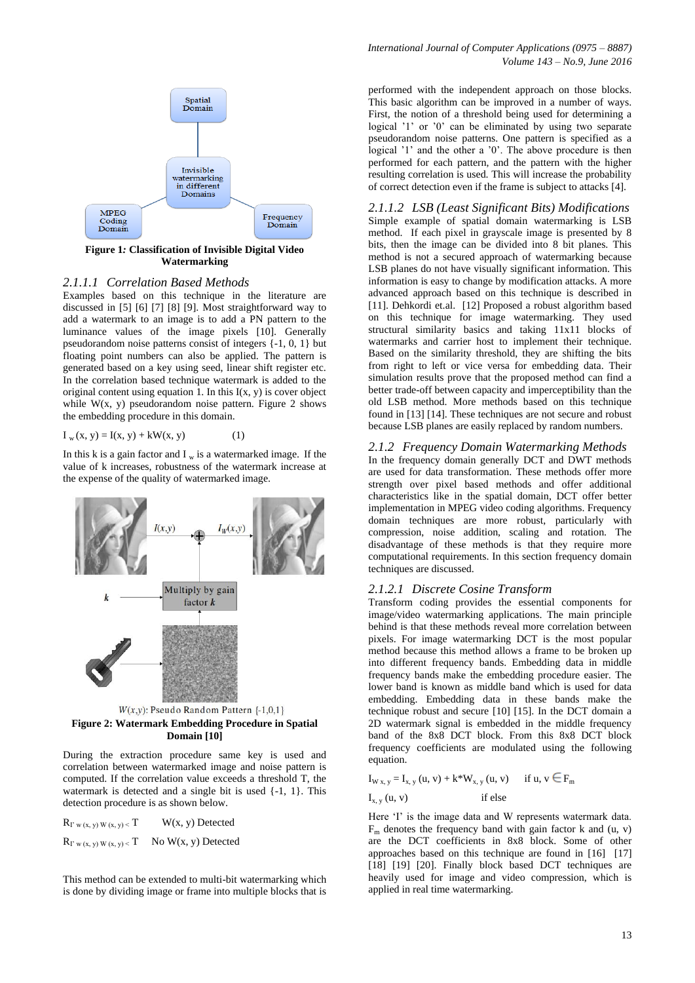

**Figure 1***:* **Classification of Invisible Digital Video Watermarking**

#### *2.1.1.1 Correlation Based Methods*

Examples based on this technique in the literature are discussed in [5] [6] [7] [8] [9]. Most straightforward way to add a watermark to an image is to add a PN pattern to the luminance values of the image pixels [10]. Generally pseudorandom noise patterns consist of integers {-1, 0, 1} but floating point numbers can also be applied. The pattern is generated based on a key using seed, linear shift register etc. In the correlation based technique watermark is added to the original content using equation 1. In this  $I(x, y)$  is cover object while  $W(x, y)$  pseudorandom noise pattern. Figure 2 shows the embedding procedure in this domain.

 $I_w(x, y) = I(x, y) + kW(x, y)$  (1)

In this k is a gain factor and  $I_w$  is a watermarked image. If the value of k increases, robustness of the watermark increase at the expense of the quality of watermarked image.



**Figure 2: Watermark Embedding Procedure in Spatial Domain [10]**

During the extraction procedure same key is used and correlation between watermarked image and noise pattern is computed. If the correlation value exceeds a threshold T, the watermark is detected and a single bit is used {-1, 1}. This detection procedure is as shown below.

 $R_{I' w (x, y) W (x, y)   
 T \t W(x, y) D \text{etected}$  $R_{\Gamma \text{ w (x, y) W (x, y)   
 T}$  No W(x, y) Detected

This method can be extended to multi-bit watermarking which is done by dividing image or frame into multiple blocks that is

performed with the independent approach on those blocks. This basic algorithm can be improved in a number of ways. First, the notion of a threshold being used for determining a logical '1' or '0' can be eliminated by using two separate pseudorandom noise patterns. One pattern is specified as a logical '1' and the other a '0'. The above procedure is then performed for each pattern, and the pattern with the higher resulting correlation is used. This will increase the probability of correct detection even if the frame is subject to attacks [4].

*2.1.1.2 LSB (Least Significant Bits) Modifications* Simple example of spatial domain watermarking is LSB method. If each pixel in grayscale image is presented by 8 bits, then the image can be divided into 8 bit planes. This method is not a secured approach of watermarking because LSB planes do not have visually significant information. This information is easy to change by modification attacks. A more advanced approach based on this technique is described in [11]. Dehkordi et.al. [12] Proposed a robust algorithm based on this technique for image watermarking. They used structural similarity basics and taking 11x11 blocks of watermarks and carrier host to implement their technique. Based on the similarity threshold, they are shifting the bits from right to left or vice versa for embedding data. Their simulation results prove that the proposed method can find a better trade-off between capacity and imperceptibility than the old LSB method. More methods based on this technique found in [13] [14]. These techniques are not secure and robust because LSB planes are easily replaced by random numbers.

# *2.1.2 Frequency Domain Watermarking Methods*

In the frequency domain generally DCT and DWT methods are used for data transformation. These methods offer more strength over pixel based methods and offer additional characteristics like in the spatial domain, DCT offer better implementation in MPEG video coding algorithms. Frequency domain techniques are more robust, particularly with compression, noise addition, scaling and rotation. The disadvantage of these methods is that they require more computational requirements. In this section frequency domain techniques are discussed.

## *2.1.2.1 Discrete Cosine Transform*

Transform coding provides the essential components for image/video watermarking applications. The main principle behind is that these methods reveal more correlation between pixels. For image watermarking DCT is the most popular method because this method allows a frame to be broken up into different frequency bands. Embedding data in middle frequency bands make the embedding procedure easier. The lower band is known as middle band which is used for data embedding. Embedding data in these bands make the technique robust and secure [10] [15]. In the DCT domain a 2D watermark signal is embedded in the middle frequency band of the 8x8 DCT block. From this 8x8 DCT block frequency coefficients are modulated using the following equation.

$$
I_{W x, y} = I_{x, y} (u, v) + k^* W_{x, y} (u, v) \quad \text{if } u, v \in F_m
$$
  

$$
I_{x, y} (u, v) \quad \text{if else}
$$

Here 'I' is the image data and W represents watermark data.  $F<sub>m</sub>$  denotes the frequency band with gain factor k and (u, v) are the DCT coefficients in 8x8 block. Some of other approaches based on this technique are found in [16] [17] [18] [19] [20]. Finally block based DCT techniques are heavily used for image and video compression, which is applied in real time watermarking.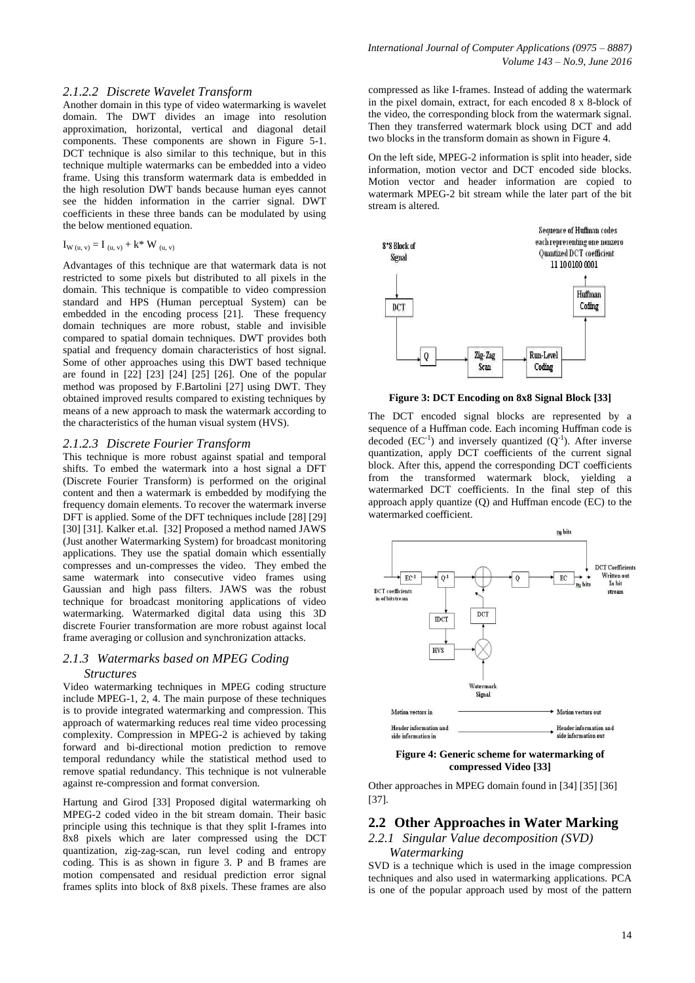## *2.1.2.2 Discrete Wavelet Transform*

Another domain in this type of video watermarking is wavelet domain. The DWT divides an image into resolution approximation, horizontal, vertical and diagonal detail components. These components are shown in Figure 5-1. DCT technique is also similar to this technique, but in this technique multiple watermarks can be embedded into a video frame. Using this transform watermark data is embedded in the high resolution DWT bands because human eyes cannot see the hidden information in the carrier signal. DWT coefficients in these three bands can be modulated by using the below mentioned equation.

## $I_{W (u, v)} = I_{(u, v)} + k^* W_{(u, v)}$

Advantages of this technique are that watermark data is not restricted to some pixels but distributed to all pixels in the domain. This technique is compatible to video compression standard and HPS (Human perceptual System) can be embedded in the encoding process [21]. These frequency domain techniques are more robust, stable and invisible compared to spatial domain techniques. DWT provides both spatial and frequency domain characteristics of host signal. Some of other approaches using this DWT based technique are found in [22] [23] [24] [25] [26]. One of the popular method was proposed by F.Bartolini [27] using DWT. They obtained improved results compared to existing techniques by means of a new approach to mask the watermark according to the characteristics of the human visual system (HVS).

#### *2.1.2.3 Discrete Fourier Transform*

This technique is more robust against spatial and temporal shifts. To embed the watermark into a host signal a DFT (Discrete Fourier Transform) is performed on the original content and then a watermark is embedded by modifying the frequency domain elements. To recover the watermark inverse DFT is applied. Some of the DFT techniques include [28] [29] [30] [31]. Kalker et.al. [32] Proposed a method named JAWS (Just another Watermarking System) for broadcast monitoring applications. They use the spatial domain which essentially compresses and un-compresses the video. They embed the same watermark into consecutive video frames using Gaussian and high pass filters. JAWS was the robust technique for broadcast monitoring applications of video watermarking. Watermarked digital data using this 3D discrete Fourier transformation are more robust against local frame averaging or collusion and synchronization attacks.

# *2.1.3 Watermarks based on MPEG Coding*

## *Structures*

Video watermarking techniques in MPEG coding structure include MPEG-1, 2, 4. The main purpose of these techniques is to provide integrated watermarking and compression. This approach of watermarking reduces real time video processing complexity. Compression in MPEG-2 is achieved by taking forward and bi-directional motion prediction to remove temporal redundancy while the statistical method used to remove spatial redundancy. This technique is not vulnerable against re-compression and format conversion.

Hartung and Girod [33] Proposed digital watermarking oh MPEG-2 coded video in the bit stream domain. Their basic principle using this technique is that they split I-frames into 8x8 pixels which are later compressed using the DCT quantization, zig-zag-scan, run level coding and entropy coding. This is as shown in figure 3. P and B frames are motion compensated and residual prediction error signal frames splits into block of 8x8 pixels. These frames are also

compressed as like I-frames. Instead of adding the watermark in the pixel domain, extract, for each encoded 8 x 8-block of the video, the corresponding block from the watermark signal. Then they transferred watermark block using DCT and add two blocks in the transform domain as shown in Figure 4.

On the left side, MPEG-2 information is split into header, side information, motion vector and DCT encoded side blocks. Motion vector and header information are copied to watermark MPEG-2 bit stream while the later part of the bit stream is altered.



**Figure 3: DCT Encoding on 8x8 Signal Block [33]**

The DCT encoded signal blocks are represented by a sequence of a Huffman code. Each incoming Huffman code is decoded ( $EC^{-1}$ ) and inversely quantized ( $Q^{-1}$ ). After inverse quantization, apply DCT coefficients of the current signal block. After this, append the corresponding DCT coefficients from the transformed watermark block, yielding a watermarked DCT coefficients. In the final step of this approach apply quantize (Q) and Huffman encode (EC) to the watermarked coefficient.



#### **Figure 4: Generic scheme for watermarking of compressed Video [33]**

Other approaches in MPEG domain found in [34] [35] [36] [37].

## **2.2 Other Approaches in Water Marking**

## *2.2.1 Singular Value decomposition (SVD) Watermarking*

SVD is a technique which is used in the image compression techniques and also used in watermarking applications. PCA is one of the popular approach used by most of the pattern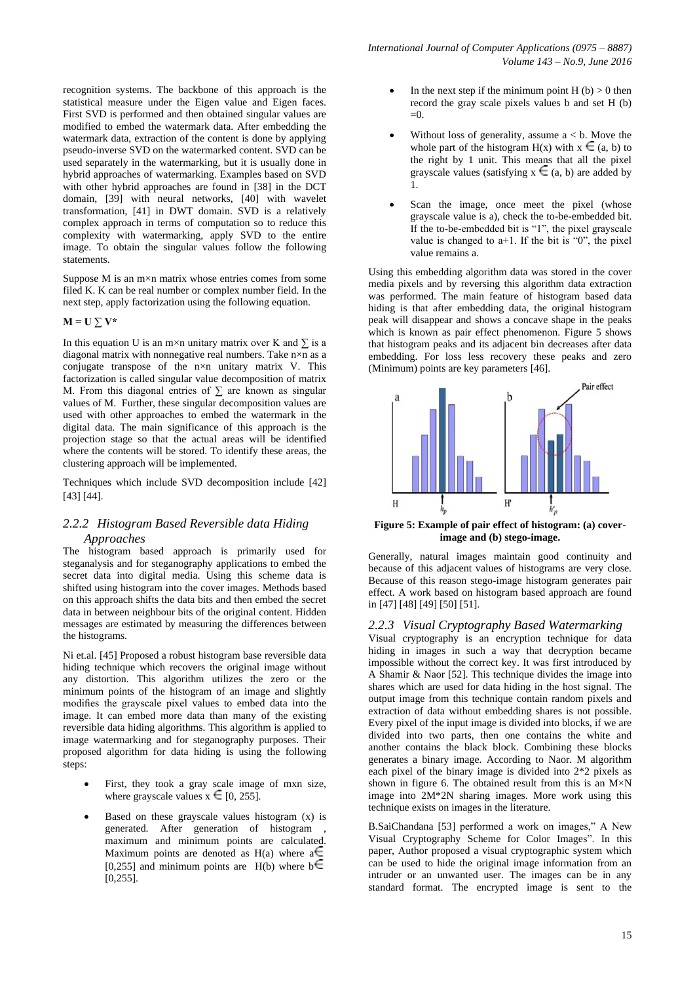recognition systems. The backbone of this approach is the statistical measure under the Eigen value and Eigen faces. First SVD is performed and then obtained singular values are modified to embed the watermark data. After embedding the watermark data, extraction of the content is done by applying pseudo-inverse SVD on the watermarked content. SVD can be used separately in the watermarking, but it is usually done in hybrid approaches of watermarking. Examples based on SVD with other hybrid approaches are found in [38] in the DCT domain, [39] with neural networks, [40] with wavelet transformation, [41] in DWT domain. SVD is a relatively complex approach in terms of computation so to reduce this complexity with watermarking, apply SVD to the entire image. To obtain the singular values follow the following statements.

Suppose  $M$  is an  $m \times n$  matrix whose entries comes from some filed K. K can be real number or complex number field. In the next step, apply factorization using the following equation.

 $M = U \sum V^*$ 

In this equation U is an m×n unitary matrix over K and  $\Sigma$  is a diagonal matrix with nonnegative real numbers. Take  $n \times n$  as a conjugate transpose of the n×n unitary matrix V. This factorization is called singular value decomposition of matrix M. From this diagonal entries of  $\Sigma$  are known as singular values of M. Further, these singular decomposition values are used with other approaches to embed the watermark in the digital data. The main significance of this approach is the projection stage so that the actual areas will be identified where the contents will be stored. To identify these areas, the clustering approach will be implemented.

Techniques which include SVD decomposition include [42] [43] [44].

## *2.2.2 Histogram Based Reversible data Hiding Approaches*

The histogram based approach is primarily used for steganalysis and for steganography applications to embed the secret data into digital media. Using this scheme data is shifted using histogram into the cover images. Methods based on this approach shifts the data bits and then embed the secret data in between neighbour bits of the original content. Hidden messages are estimated by measuring the differences between the histograms.

Ni et.al. [45] Proposed a robust histogram base reversible data hiding technique which recovers the original image without any distortion. This algorithm utilizes the zero or the minimum points of the histogram of an image and slightly modifies the grayscale pixel values to embed data into the image. It can embed more data than many of the existing reversible data hiding algorithms. This algorithm is applied to image watermarking and for steganography purposes. Their proposed algorithm for data hiding is using the following steps:

- First, they took a gray scale image of mxn size, where grayscale values  $x \in [0, 255]$ .
- Based on these grayscale values histogram (x) is generated. After generation of histogram , maximum and minimum points are calculated. Maximum points are denoted as H(a) where  $a \in$ [0,255] and minimum points are H(b) where  $\mathbf{b} \in$ [0,255].
- In the next step if the minimum point  $H(b) > 0$  then record the gray scale pixels values b and set H (b)  $-0$
- Without loss of generality, assume  $a < b$ . Move the whole part of the histogram  $H(x)$  with  $x \in (a, b)$  to the right by 1 unit. This means that all the pixel grayscale values (satisfying  $x \in (a, b)$  are added by 1.
- Scan the image, once meet the pixel (whose grayscale value is a), check the to-be-embedded bit. If the to-be-embedded bit is "1", the pixel grayscale value is changed to  $a+1$ . If the bit is "0", the pixel value remains a.

Using this embedding algorithm data was stored in the cover media pixels and by reversing this algorithm data extraction was performed. The main feature of histogram based data hiding is that after embedding data, the original histogram peak will disappear and shows a concave shape in the peaks which is known as pair effect phenomenon. Figure 5 shows that histogram peaks and its adjacent bin decreases after data embedding. For loss less recovery these peaks and zero (Minimum) points are key parameters [46].



**Figure 5: Example of pair effect of histogram: (a) coverimage and (b) stego-image.**

Generally, natural images maintain good continuity and because of this adjacent values of histograms are very close. Because of this reason stego-image histogram generates pair effect. A work based on histogram based approach are found in [47] [48] [49] [50] [51].

## *2.2.3 Visual Cryptography Based Watermarking*

Visual cryptography is an encryption technique for data hiding in images in such a way that decryption became impossible without the correct key. It was first introduced by A Shamir & Naor [52]. This technique divides the image into shares which are used for data hiding in the host signal. The output image from this technique contain random pixels and extraction of data without embedding shares is not possible. Every pixel of the input image is divided into blocks, if we are divided into two parts, then one contains the white and another contains the black block. Combining these blocks generates a binary image. According to Naor. M algorithm each pixel of the binary image is divided into 2\*2 pixels as shown in figure 6. The obtained result from this is an  $M \times N$ image into 2M\*2N sharing images. More work using this technique exists on images in the literature.

B.SaiChandana [53] performed a work on images," A New Visual Cryptography Scheme for Color Images". In this paper, Author proposed a visual cryptographic system which can be used to hide the original image information from an intruder or an unwanted user. The images can be in any standard format. The encrypted image is sent to the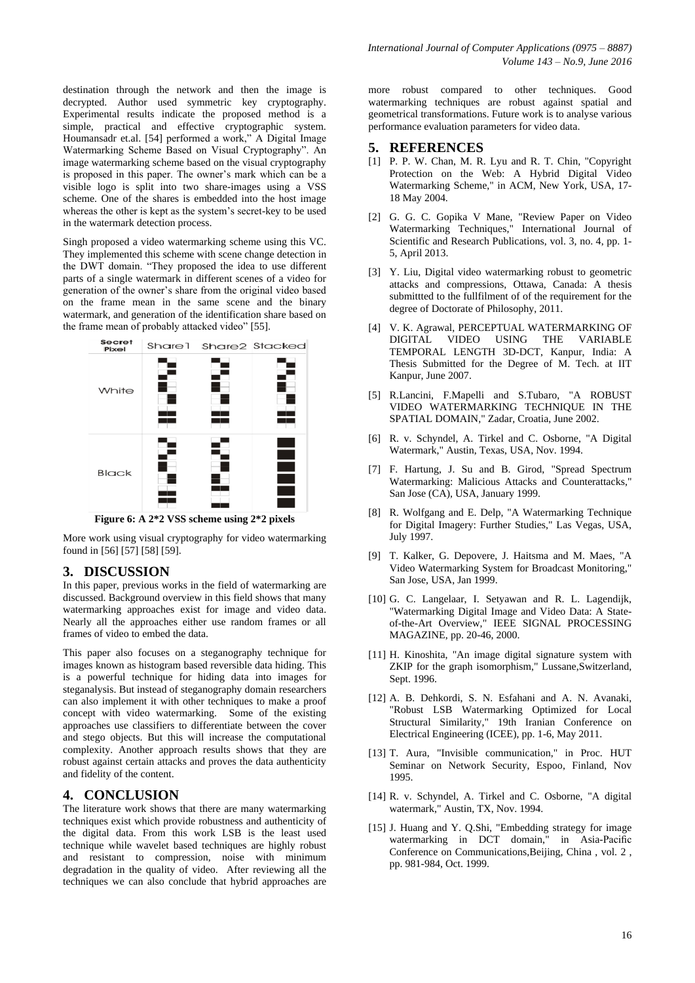destination through the network and then the image is decrypted. Author used symmetric key cryptography. Experimental results indicate the proposed method is a simple, practical and effective cryptographic system. Houmansadr et.al. [54] performed a work," A Digital Image Watermarking Scheme Based on Visual Cryptography". An image watermarking scheme based on the visual cryptography is proposed in this paper. The owner"s mark which can be a visible logo is split into two share-images using a VSS scheme. One of the shares is embedded into the host image whereas the other is kept as the system"s secret-key to be used in the watermark detection process.

Singh proposed a video watermarking scheme using this VC. They implemented this scheme with scene change detection in the DWT domain. "They proposed the idea to use different parts of a single watermark in different scenes of a video for generation of the owner"s share from the original video based on the frame mean in the same scene and the binary watermark, and generation of the identification share based on the frame mean of probably attacked video" [55].



**Figure 6: A 2\*2 VSS scheme using 2\*2 pixels**

More work using visual cryptography for video watermarking found in [56] [57] [58] [59].

# **3. DISCUSSION**

In this paper, previous works in the field of watermarking are discussed. Background overview in this field shows that many watermarking approaches exist for image and video data. Nearly all the approaches either use random frames or all frames of video to embed the data.

This paper also focuses on a steganography technique for images known as histogram based reversible data hiding. This is a powerful technique for hiding data into images for steganalysis. But instead of steganography domain researchers can also implement it with other techniques to make a proof concept with video watermarking. Some of the existing approaches use classifiers to differentiate between the cover and stego objects. But this will increase the computational complexity. Another approach results shows that they are robust against certain attacks and proves the data authenticity and fidelity of the content.

# **4. CONCLUSION**

The literature work shows that there are many watermarking techniques exist which provide robustness and authenticity of the digital data. From this work LSB is the least used technique while wavelet based techniques are highly robust and resistant to compression, noise with minimum degradation in the quality of video. After reviewing all the techniques we can also conclude that hybrid approaches are

more robust compared to other techniques. Good watermarking techniques are robust against spatial and geometrical transformations. Future work is to analyse various performance evaluation parameters for video data.

## **5. REFERENCES**

- [1] P. P. W. Chan, M. R. Lyu and R. T. Chin, "Copyright Protection on the Web: A Hybrid Digital Video Watermarking Scheme," in ACM, New York, USA, 17- 18 May 2004.
- [2] G. G. C. Gopika V Mane, "Review Paper on Video Watermarking Techniques," International Journal of Scientific and Research Publications, vol. 3, no. 4, pp. 1- 5, April 2013.
- [3] Y. Liu, Digital video watermarking robust to geometric attacks and compressions, Ottawa, Canada: A thesis submittted to the fullfilment of of the requirement for the degree of Doctorate of Philosophy, 2011.
- [4] V. K. Agrawal, PERCEPTUAL WATERMARKING OF DIGITAL VIDEO USING THE VARIABLE TEMPORAL LENGTH 3D-DCT, Kanpur, India: A Thesis Submitted for the Degree of M. Tech. at IIT Kanpur, June 2007.
- [5] R.Lancini, F.Mapelli and S.Tubaro, "A ROBUST VIDEO WATERMARKING TECHNIQUE IN THE SPATIAL DOMAIN," Zadar, Croatia, June 2002.
- [6] R. v. Schyndel, A. Tirkel and C. Osborne, "A Digital Watermark," Austin, Texas, USA, Nov. 1994.
- [7] F. Hartung, J. Su and B. Girod, "Spread Spectrum Watermarking: Malicious Attacks and Counterattacks," San Jose (CA), USA, January 1999.
- [8] R. Wolfgang and E. Delp, "A Watermarking Technique for Digital Imagery: Further Studies," Las Vegas, USA, July 1997.
- [9] T. Kalker, G. Depovere, J. Haitsma and M. Maes, "A Video Watermarking System for Broadcast Monitoring," San Jose, USA, Jan 1999.
- [10] G. C. Langelaar, I. Setyawan and R. L. Lagendijk, "Watermarking Digital Image and Video Data: A Stateof-the-Art Overview," IEEE SIGNAL PROCESSING MAGAZINE, pp. 20-46, 2000.
- [11] H. Kinoshita, "An image digital signature system with ZKIP for the graph isomorphism," Lussane,Switzerland, Sept. 1996.
- [12] A. B. Dehkordi, S. N. Esfahani and A. N. Avanaki, "Robust LSB Watermarking Optimized for Local Structural Similarity," 19th Iranian Conference on Electrical Engineering (ICEE), pp. 1-6, May 2011.
- [13] T. Aura, "Invisible communication," in Proc. HUT Seminar on Network Security, Espoo, Finland, Nov 1995.
- [14] R. v. Schyndel, A. Tirkel and C. Osborne, "A digital watermark," Austin, TX, Nov. 1994.
- [15] J. Huang and Y. Q.Shi, "Embedding strategy for image watermarking in DCT domain," in Asia-Pacific Conference on Communications,Beijing, China , vol. 2 , pp. 981-984, Oct. 1999.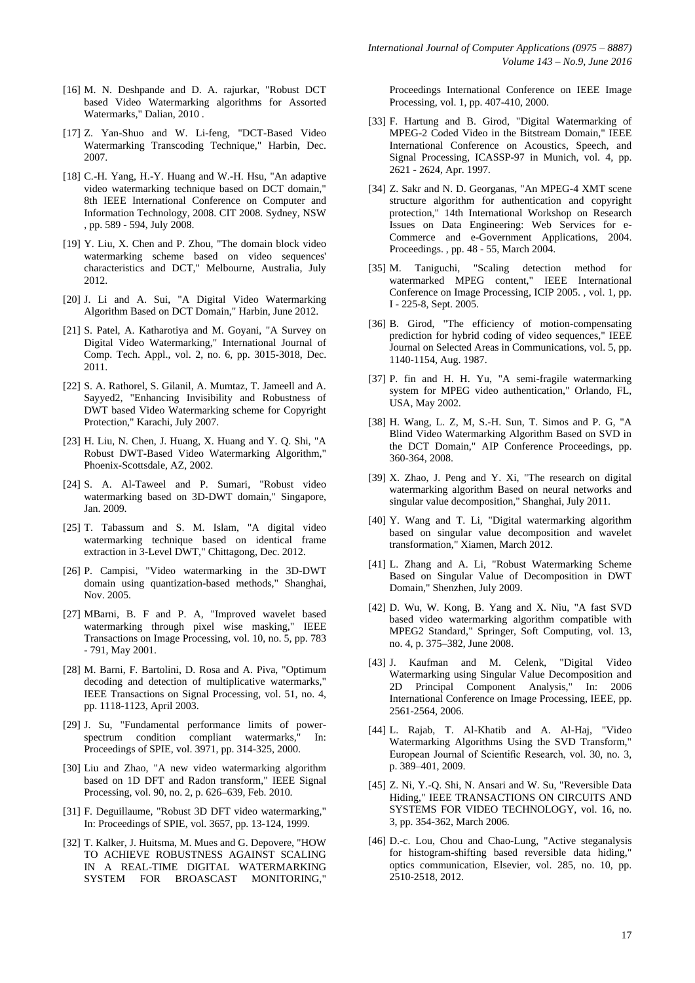- [16] M. N. Deshpande and D. A. rajurkar, "Robust DCT based Video Watermarking algorithms for Assorted Watermarks," Dalian, 2010 .
- [17] Z. Yan-Shuo and W. Li-feng, "DCT-Based Video Watermarking Transcoding Technique," Harbin, Dec. 2007.
- [18] C.-H. Yang, H.-Y. Huang and W.-H. Hsu, "An adaptive video watermarking technique based on DCT domain," 8th IEEE International Conference on Computer and Information Technology, 2008. CIT 2008. Sydney, NSW , pp. 589 - 594, July 2008.
- [19] Y. Liu, X. Chen and P. Zhou, "The domain block video watermarking scheme based on video sequences' characteristics and DCT," Melbourne, Australia, July 2012.
- [20] J. Li and A. Sui, "A Digital Video Watermarking Algorithm Based on DCT Domain," Harbin, June 2012.
- [21] S. Patel, A. Katharotiya and M. Goyani, "A Survey on Digital Video Watermarking," International Journal of Comp. Tech. Appl., vol. 2, no. 6, pp. 3015-3018, Dec. 2011.
- [22] S. A. Rathorel, S. Gilanil, A. Mumtaz, T. Jameell and A. Sayyed2, "Enhancing Invisibility and Robustness of DWT based Video Watermarking scheme for Copyright Protection," Karachi, July 2007.
- [23] H. Liu, N. Chen, J. Huang, X. Huang and Y. Q. Shi, "A Robust DWT-Based Video Watermarking Algorithm," Phoenix-Scottsdale, AZ, 2002.
- [24] S. A. Al-Taweel and P. Sumari, "Robust video watermarking based on 3D-DWT domain," Singapore, Jan. 2009.
- [25] T. Tabassum and S. M. Islam, "A digital video watermarking technique based on identical frame extraction in 3-Level DWT," Chittagong, Dec. 2012.
- [26] P. Campisi, "Video watermarking in the 3D-DWT domain using quantization-based methods," Shanghai, Nov. 2005.
- [27] MBarni, B. F and P. A, "Improved wavelet based watermarking through pixel wise masking," IEEE Transactions on Image Processing, vol. 10, no. 5, pp. 783 - 791, May 2001.
- [28] M. Barni, F. Bartolini, D. Rosa and A. Piva, "Optimum decoding and detection of multiplicative watermarks," IEEE Transactions on Signal Processing, vol. 51, no. 4, pp. 1118-1123, April 2003.
- [29] J. Su, "Fundamental performance limits of powerspectrum condition compliant watermarks," In: Proceedings of SPIE, vol. 3971, pp. 314-325, 2000.
- [30] Liu and Zhao, "A new video watermarking algorithm based on 1D DFT and Radon transform," IEEE Signal Processing, vol. 90, no. 2, p. 626–639, Feb. 2010.
- [31] F. Deguillaume, "Robust 3D DFT video watermarking," In: Proceedings of SPIE, vol. 3657, pp. 13-124, 1999.
- [32] T. Kalker, J. Huitsma, M. Mues and G. Depovere, "HOW TO ACHIEVE ROBUSTNESS AGAINST SCALING IN A REAL-TIME DIGITAL WATERMARKING SYSTEM FOR BROASCAST MONITORING,"

Proceedings International Conference on IEEE Image Processing, vol. 1, pp. 407-410, 2000.

- [33] F. Hartung and B. Girod, "Digital Watermarking of MPEG-2 Coded Video in the Bitstream Domain," IEEE International Conference on Acoustics, Speech, and Signal Processing, ICASSP-97 in Munich, vol. 4, pp. 2621 - 2624, Apr. 1997.
- [34] Z. Sakr and N. D. Georganas, "An MPEG-4 XMT scene structure algorithm for authentication and copyright protection," 14th International Workshop on Research Issues on Data Engineering: Web Services for e-Commerce and e-Government Applications, 2004. Proceedings. , pp. 48 - 55, March 2004.
- [35] M. Taniguchi, "Scaling detection method for watermarked MPEG content," IEEE International Conference on Image Processing, ICIP 2005. , vol. 1, pp. I - 225-8, Sept. 2005.
- [36] B. Girod, "The efficiency of motion-compensating prediction for hybrid coding of video sequences," IEEE Journal on Selected Areas in Communications, vol. 5, pp. 1140-1154, Aug. 1987.
- [37] P. fin and H. H. Yu, "A semi-fragile watermarking system for MPEG video authentication," Orlando, FL, USA, May 2002.
- [38] H. Wang, L. Z, M, S.-H. Sun, T. Simos and P. G, "A Blind Video Watermarking Algorithm Based on SVD in the DCT Domain," AIP Conference Proceedings, pp. 360-364, 2008.
- [39] X. Zhao, J. Peng and Y. Xi, "The research on digital watermarking algorithm Based on neural networks and singular value decomposition," Shanghai, July 2011.
- [40] Y. Wang and T. Li, "Digital watermarking algorithm based on singular value decomposition and wavelet transformation," Xiamen, March 2012.
- [41] L. Zhang and A. Li, "Robust Watermarking Scheme Based on Singular Value of Decomposition in DWT Domain," Shenzhen, July 2009.
- [42] D. Wu, W. Kong, B. Yang and X. Niu, "A fast SVD based video watermarking algorithm compatible with MPEG2 Standard," Springer, Soft Computing, vol. 13, no. 4, p. 375–382, June 2008.
- [43] J. Kaufman and M. Celenk, "Digital Video Watermarking using Singular Value Decomposition and 2D Principal Component Analysis," In: 2006 International Conference on Image Processing, IEEE, pp. 2561-2564, 2006.
- [44] L. Rajab, T. Al-Khatib and A. Al-Haj, "Video Watermarking Algorithms Using the SVD Transform," European Journal of Scientific Research, vol. 30, no. 3, p. 389–401, 2009.
- [45] Z. Ni, Y.-Q. Shi, N. Ansari and W. Su, "Reversible Data Hiding," IEEE TRANSACTIONS ON CIRCUITS AND SYSTEMS FOR VIDEO TECHNOLOGY, vol. 16, no. 3, pp. 354-362, March 2006.
- [46] D.-c. Lou, Chou and Chao-Lung, "Active steganalysis for histogram-shifting based reversible data hiding," optics communication, Elsevier, vol. 285, no. 10, pp. 2510-2518, 2012.